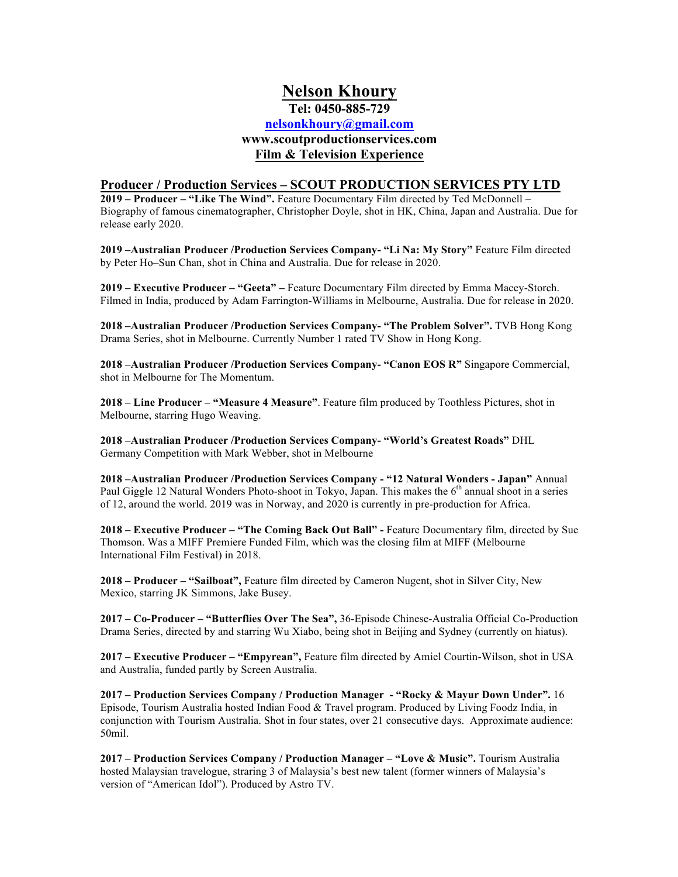# **Nelson Khoury Tel: 0450-885-729 nelsonkhoury@gmail.com www.scoutproductionservices.com Film & Television Experience**

# **Producer / Production Services – SCOUT PRODUCTION SERVICES PTY LTD**

**2019 – Producer – "Like The Wind".** Feature Documentary Film directed by Ted McDonnell – Biography of famous cinematographer, Christopher Doyle, shot in HK, China, Japan and Australia. Due for release early 2020.

**2019 –Australian Producer /Production Services Company- "Li Na: My Story"** Feature Film directed by Peter Ho–Sun Chan, shot in China and Australia. Due for release in 2020.

**2019 – Executive Producer – "Geeta" –** Feature Documentary Film directed by Emma Macey-Storch. Filmed in India, produced by Adam Farrington-Williams in Melbourne, Australia. Due for release in 2020.

**2018 –Australian Producer /Production Services Company- "The Problem Solver".** TVB Hong Kong Drama Series, shot in Melbourne. Currently Number 1 rated TV Show in Hong Kong.

**2018 –Australian Producer /Production Services Company- "Canon EOS R"** Singapore Commercial, shot in Melbourne for The Momentum.

**2018 – Line Producer – "Measure 4 Measure"**. Feature film produced by Toothless Pictures, shot in Melbourne, starring Hugo Weaving.

**2018 –Australian Producer /Production Services Company- "World's Greatest Roads"** DHL Germany Competition with Mark Webber, shot in Melbourne

**2018 –Australian Producer /Production Services Company - "12 Natural Wonders - Japan"** Annual Paul Giggle 12 Natural Wonders Photo-shoot in Tokyo, Japan. This makes the  $6<sup>th</sup>$  annual shoot in a series of 12, around the world. 2019 was in Norway, and 2020 is currently in pre-production for Africa.

**2018 – Executive Producer – "The Coming Back Out Ball" -** Feature Documentary film, directed by Sue Thomson. Was a MIFF Premiere Funded Film, which was the closing film at MIFF (Melbourne International Film Festival) in 2018.

**2018 – Producer – "Sailboat",** Feature film directed by Cameron Nugent, shot in Silver City, New Mexico, starring JK Simmons, Jake Busey.

**2017 – Co-Producer – "Butterflies Over The Sea",** 36-Episode Chinese-Australia Official Co-Production Drama Series, directed by and starring Wu Xiabo, being shot in Beijing and Sydney (currently on hiatus).

**2017 – Executive Producer – "Empyrean",** Feature film directed by Amiel Courtin-Wilson, shot in USA and Australia, funded partly by Screen Australia.

**2017 – Production Services Company / Production Manager - "Rocky & Mayur Down Under".** 16 Episode, Tourism Australia hosted Indian Food & Travel program. Produced by Living Foodz India, in conjunction with Tourism Australia. Shot in four states, over 21 consecutive days. Approximate audience: 50mil.

**2017 – Production Services Company / Production Manager – "Love & Music".** Tourism Australia hosted Malaysian travelogue, straring 3 of Malaysia's best new talent (former winners of Malaysia's version of "American Idol"). Produced by Astro TV.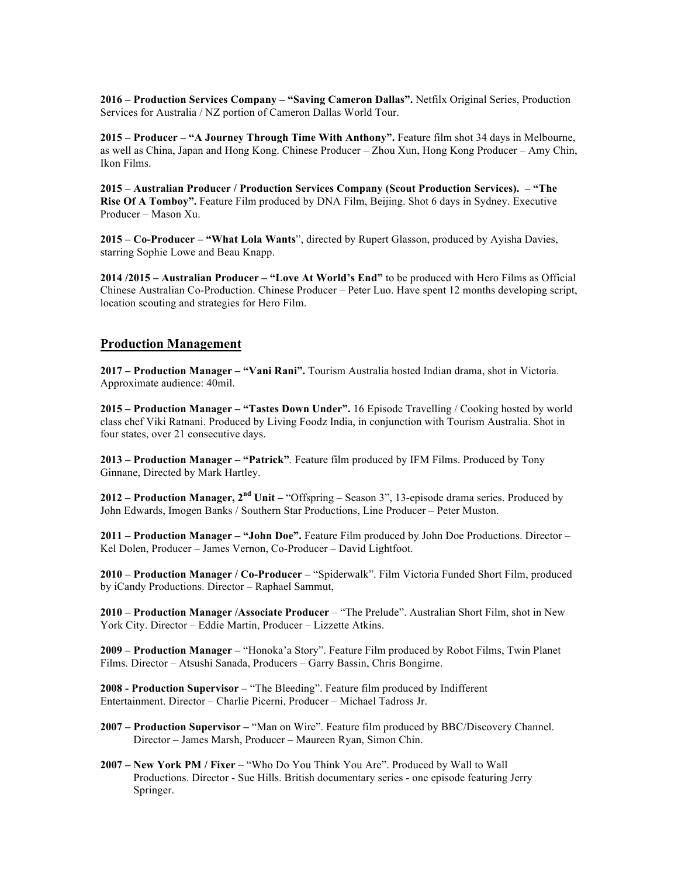**2016 – Production Services Company – "Saving Cameron Dallas".** Netfilx Original Series, Production Services for Australia / NZ portion of Cameron Dallas World Tour.

**2015 – Producer – "A Journey Through Time With Anthony".** Feature film shot 34 days in Melbourne, as well as China, Japan and Hong Kong. Chinese Producer – Zhou Xun, Hong Kong Producer – Amy Chin, Ikon Films.

**2015 – Australian Producer / Production Services Company (Scout Production Services). – "The Rise Of A Tomboy".** Feature Film produced by DNA Film, Beijing. Shot 6 days in Sydney. Executive Producer – Mason Xu.

**2015 – Co-Producer – "What Lola Wants**", directed by Rupert Glasson, produced by Ayisha Davies, starring Sophie Lowe and Beau Knapp.

**2014 /2015 – Australian Producer – "Love At World's End"** to be produced with Hero Films as Official Chinese Australian Co-Production. Chinese Producer – Peter Luo. Have spent 12 months developing script, location scouting and strategies for Hero Film.

# **Production Management**

**2017 – Production Manager – "Vani Rani".** Tourism Australia hosted Indian drama, shot in Victoria. Approximate audience: 40mil.

**2015 – Production Manager – "Tastes Down Under".** 16 Episode Travelling / Cooking hosted by world class chef Viki Ratnani. Produced by Living Foodz India, in conjunction with Tourism Australia. Shot in four states, over 21 consecutive days.

**2013 – Production Manager – "Patrick"***.* Feature film produced by IFM Films. Produced by Tony Ginnane, Directed by Mark Hartley.

**2012 – Production Manager, 2nd Unit –** "Offspring – Season 3", 13-episode drama series. Produced by John Edwards, Imogen Banks / Southern Star Productions, Line Producer – Peter Muston.

**2011 – Production Manager – "John Doe".** Feature Film produced by John Doe Productions. Director – Kel Dolen, Producer – James Vernon, Co-Producer – David Lightfoot.

**2010 – Production Manager / Co-Producer –** "Spiderwalk". Film Victoria Funded Short Film, produced by iCandy Productions. Director – Raphael Sammut,

**2010 – Production Manager /Associate Producer** – "The Prelude". Australian Short Film, shot in New York City. Director – Eddie Martin, Producer – Lizzette Atkins.

**2009 – Production Manager –** "Honoka'a Story". Feature Film produced by Robot Films, Twin Planet Films. Director – Atsushi Sanada, Producers – Garry Bassin, Chris Bongirne.

**2008 - Production Supervisor –** "The Bleeding". Feature film produced by Indifferent Entertainment. Director – Charlie Picerni, Producer – Michael Tadross Jr.

- **2007 – Production Supervisor –** "Man on Wire". Feature film produced by BBC/Discovery Channel. Director – James Marsh, Producer – Maureen Ryan, Simon Chin.
- **2007 – New York PM / Fixer** "Who Do You Think You Are". Produced by Wall to Wall Productions. Director - Sue Hills. British documentary series - one episode featuring Jerry Springer.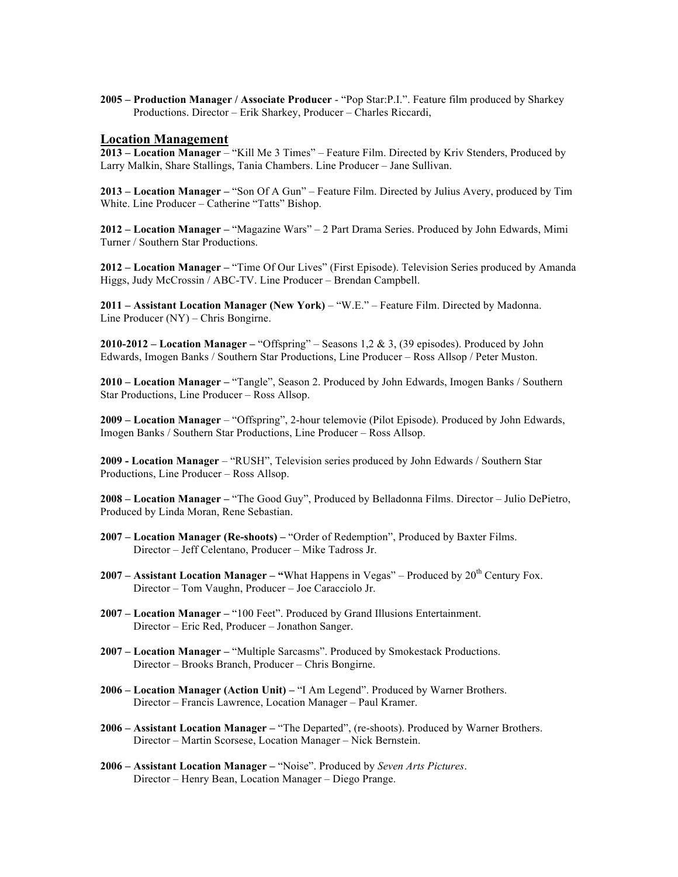**2005 – Production Manager / Associate Producer** - "Pop Star:P.I.". Feature film produced by Sharkey Productions. Director – Erik Sharkey, Producer – Charles Riccardi,

### **Location Management**

**2013 – Location Manager** – "Kill Me 3 Times" – Feature Film. Directed by Kriv Stenders, Produced by Larry Malkin, Share Stallings, Tania Chambers. Line Producer – Jane Sullivan.

**2013 – Location Manager –** "Son Of A Gun" – Feature Film. Directed by Julius Avery, produced by Tim White. Line Producer – Catherine "Tatts" Bishop.

**2012 – Location Manager –** "Magazine Wars" – 2 Part Drama Series. Produced by John Edwards, Mimi Turner / Southern Star Productions.

**2012 – Location Manager –** "Time Of Our Lives" (First Episode). Television Series produced by Amanda Higgs, Judy McCrossin / ABC-TV. Line Producer – Brendan Campbell.

**2011 – Assistant Location Manager (New York)** – "W.E." – Feature Film. Directed by Madonna. Line Producer (NY) – Chris Bongirne.

**2010-2012 – Location Manager –** "Offspring" – Seasons 1,2 & 3, (39 episodes). Produced by John Edwards, Imogen Banks / Southern Star Productions, Line Producer – Ross Allsop / Peter Muston.

**2010 – Location Manager –** "Tangle", Season 2. Produced by John Edwards, Imogen Banks / Southern Star Productions, Line Producer – Ross Allsop.

**2009 – Location Manager** – "Offspring", 2-hour telemovie (Pilot Episode). Produced by John Edwards, Imogen Banks / Southern Star Productions, Line Producer – Ross Allsop.

**2009 - Location Manager** – "RUSH", Television series produced by John Edwards / Southern Star Productions, Line Producer – Ross Allsop.

**2008 – Location Manager –** "The Good Guy", Produced by Belladonna Films. Director – Julio DePietro, Produced by Linda Moran, Rene Sebastian.

- **2007 – Location Manager (Re-shoots) –** "Order of Redemption", Produced by Baxter Films. Director – Jeff Celentano, Producer – Mike Tadross Jr.
- **2007 – Assistant Location Manager – "**What Happens in Vegas" Produced by 20th Century Fox. Director – Tom Vaughn, Producer – Joe Caracciolo Jr.
- **2007 – Location Manager –** "100 Feet". Produced by Grand Illusions Entertainment. Director – Eric Red, Producer – Jonathon Sanger.
- **2007 – Location Manager –** "Multiple Sarcasms". Produced by Smokestack Productions. Director – Brooks Branch, Producer – Chris Bongirne.
- **2006 – Location Manager (Action Unit) –** "I Am Legend". Produced by Warner Brothers. Director – Francis Lawrence, Location Manager – Paul Kramer.
- **2006 – Assistant Location Manager –** "The Departed", (re-shoots). Produced by Warner Brothers. Director – Martin Scorsese, Location Manager – Nick Bernstein.
- **2006 – Assistant Location Manager –** "Noise". Produced by *Seven Arts Pictures*. Director – Henry Bean, Location Manager – Diego Prange.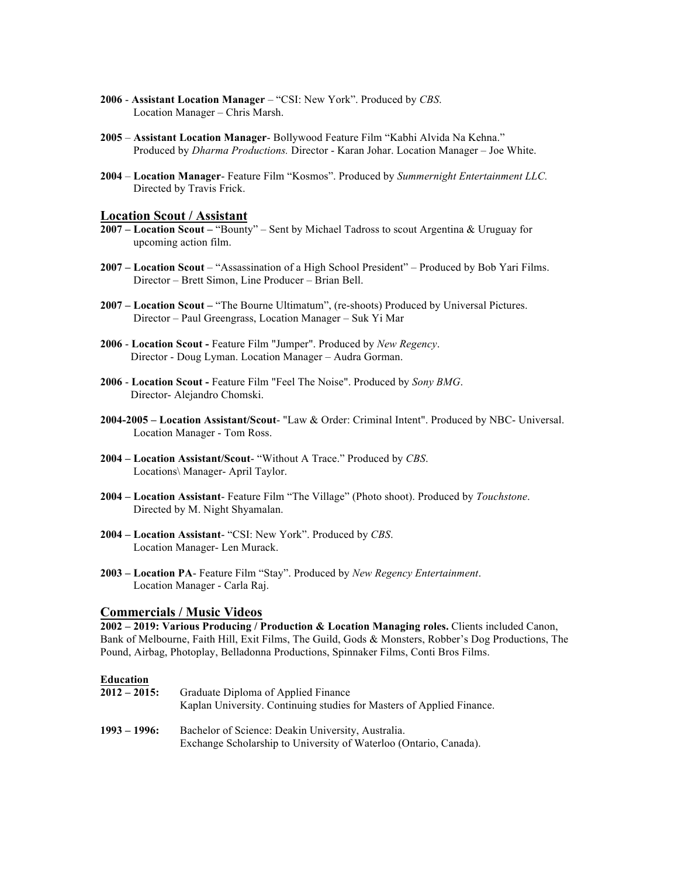- **2006 Assistant Location Manager** "CSI: New York". Produced by *CBS*. Location Manager – Chris Marsh.
- **2005 Assistant Location Manager** Bollywood Feature Film "Kabhi Alvida Na Kehna." Produced by *Dharma Productions.* Director - Karan Johar. Location Manager – Joe White.
- **2004 Location Manager** Feature Film "Kosmos". Produced by *Summernight Entertainment LLC.* Directed by Travis Frick.

## **Location Scout / Assistant**

- **2007 – Location Scout –** "Bounty" Sent by Michael Tadross to scout Argentina & Uruguay for upcoming action film.
- **2007 – Location Scout**  "Assassination of a High School President" Produced by Bob Yari Films. Director – Brett Simon, Line Producer – Brian Bell.
- **2007 – Location Scout –** "The Bourne Ultimatum", (re-shoots) Produced by Universal Pictures. Director – Paul Greengrass, Location Manager – Suk Yi Mar
- **2006 Location Scout -** Feature Film "Jumper". Produced by *New Regency*. Director - Doug Lyman. Location Manager – Audra Gorman.
- **2006 Location Scout -** Feature Film "Feel The Noise". Produced by *Sony BMG*. Director- Alejandro Chomski.
- **2004-2005 – Location Assistant/Scout** "Law & Order: Criminal Intent". Produced by NBC- Universal. Location Manager - Tom Ross.
- **2004 – Location Assistant/Scout** "Without A Trace." Produced by *CBS*. Locations\ Manager- April Taylor.
- **2004 – Location Assistant** Feature Film "The Village" (Photo shoot). Produced by *Touchstone*. Directed by M. Night Shyamalan.
- **2004 – Location Assistant** "CSI: New York". Produced by *CBS*. Location Manager- Len Murack.
- **2003 – Location PA** Feature Film "Stay". Produced by *New Regency Entertainment*. Location Manager - Carla Raj.

#### **Commercials / Music Videos**

**2002 – 2019: Various Producing / Production & Location Managing roles.** Clients included Canon, Bank of Melbourne, Faith Hill, Exit Films, The Guild, Gods & Monsters, Robber's Dog Productions, The Pound, Airbag, Photoplay, Belladonna Productions, Spinnaker Films, Conti Bros Films.

#### **Education**

| $2012 - 2015$ : | Graduate Diploma of Applied Finance<br>Kaplan University. Continuing studies for Masters of Applied Finance.            |
|-----------------|-------------------------------------------------------------------------------------------------------------------------|
| $1993 - 1996$ : | Bachelor of Science: Deakin University, Australia.<br>Exchange Scholarship to University of Waterloo (Ontario, Canada). |